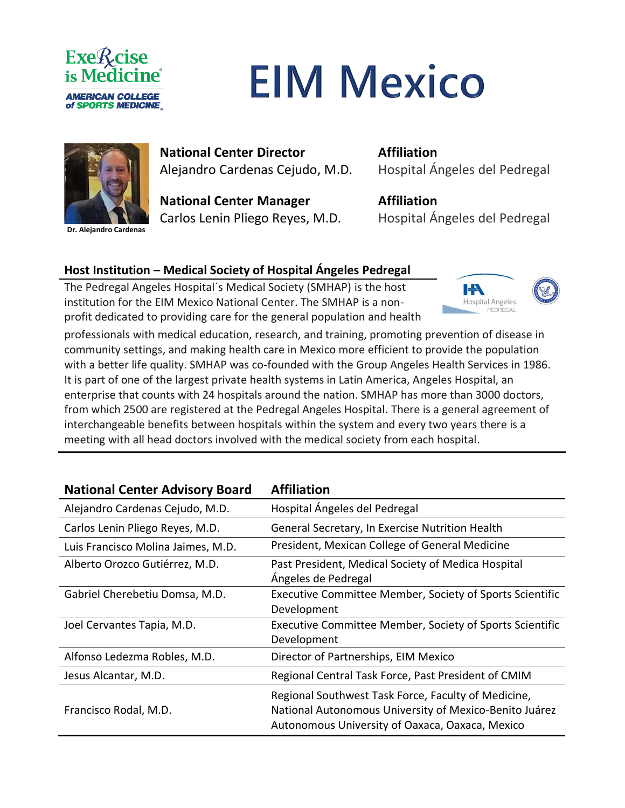

## **EIM Mexico**



**Dr. Alejandro Cardenas**

**National Center Director**  Alejandro Cardenas Cejudo, M.D.

**National Center Manager** Carlos Lenin Pliego Reyes, M.D. **Affiliation** Hospital Ángeles del Pedregal

**Affiliation** Hospital Ángeles del Pedregal

## **Host Institution – Medical Society of Hospital Ángeles Pedregal**

The Pedregal Angeles Hospital´s Medical Society (SMHAP) is the host institution for the EIM Mexico National Center. The SMHAP is a nonprofit dedicated to providing care for the general population and health



professionals with medical education, research, and training, promoting prevention of disease in community settings, and making health care in Mexico more efficient to provide the population with a better life quality. SMHAP was co-founded with the Group Angeles Health Services in 1986. It is part of one of the largest private health systems in Latin America, Angeles Hospital, an enterprise that counts with 24 hospitals around the nation. SMHAP has more than 3000 doctors, from which 2500 are registered at the Pedregal Angeles Hospital. There is a general agreement of interchangeable benefits between hospitals within the system and every two years there is a meeting with all head doctors involved with the medical society from each hospital.

| <b>National Center Advisory Board</b> | <b>Affiliation</b>                                                                                                                                               |
|---------------------------------------|------------------------------------------------------------------------------------------------------------------------------------------------------------------|
| Alejandro Cardenas Cejudo, M.D.       | Hospital Ángeles del Pedregal                                                                                                                                    |
| Carlos Lenin Pliego Reyes, M.D.       | General Secretary, In Exercise Nutrition Health                                                                                                                  |
| Luis Francisco Molina Jaimes, M.D.    | President, Mexican College of General Medicine                                                                                                                   |
| Alberto Orozco Gutiérrez, M.D.        | Past President, Medical Society of Medica Hospital<br>Ángeles de Pedregal                                                                                        |
| Gabriel Cherebetiu Domsa, M.D.        | Executive Committee Member, Society of Sports Scientific<br>Development                                                                                          |
| Joel Cervantes Tapia, M.D.            | Executive Committee Member, Society of Sports Scientific<br>Development                                                                                          |
| Alfonso Ledezma Robles, M.D.          | Director of Partnerships, EIM Mexico                                                                                                                             |
| Jesus Alcantar, M.D.                  | Regional Central Task Force, Past President of CMIM                                                                                                              |
| Francisco Rodal, M.D.                 | Regional Southwest Task Force, Faculty of Medicine,<br>National Autonomous University of Mexico-Benito Juárez<br>Autonomous University of Oaxaca, Oaxaca, Mexico |